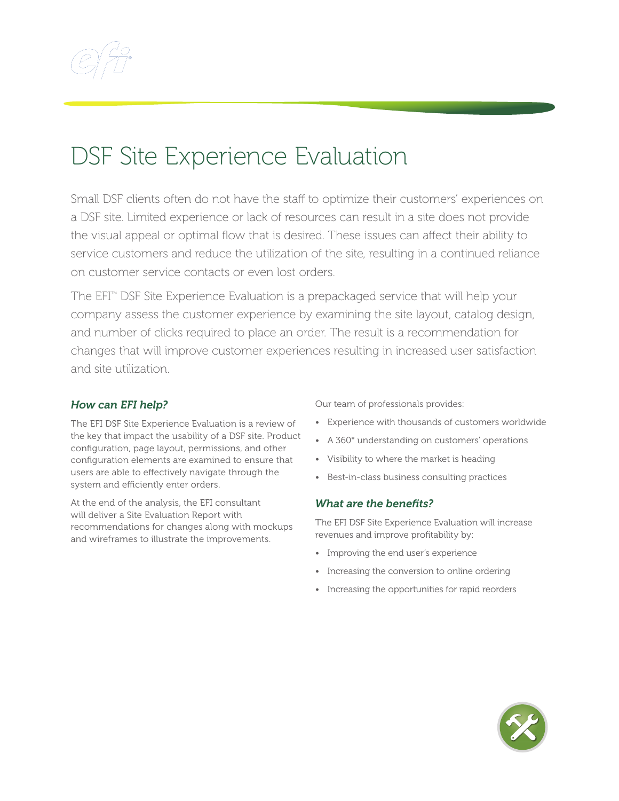

## DSF Site Experience Evaluation

Small DSF clients often do not have the staff to optimize their customers' experiences on a DSF site. Limited experience or lack of resources can result in a site does not provide the visual appeal or optimal flow that is desired. These issues can affect their ability to service customers and reduce the utilization of the site, resulting in a continued reliance on customer service contacts or even lost orders.

The  $EFI^{m}$  DSF Site Experience Evaluation is a prepackaged service that will help your company assess the customer experience by examining the site layout, catalog design, and number of clicks required to place an order. The result is a recommendation for changes that will improve customer experiences resulting in increased user satisfaction and site utilization.

## *How can EFI help?*

The EFI DSF Site Experience Evaluation is a review of the key that impact the usability of a DSF site. Product configuration, page layout, permissions, and other configuration elements are examined to ensure that users are able to effectively navigate through the system and efficiently enter orders.

At the end of the analysis, the EFI consultant will deliver a Site Evaluation Report with recommendations for changes along with mockups and wireframes to illustrate the improvements.

Our team of professionals provides:

- Experience with thousands of customers worldwide
- A 360° understanding on customers' operations
- Visibility to where the market is heading
- Best-in-class business consulting practices

## *What are the benefits?*

The EFI DSF Site Experience Evaluation will increase revenues and improve profitability by:

- Improving the end user's experience
- Increasing the conversion to online ordering
- Increasing the opportunities for rapid reorders